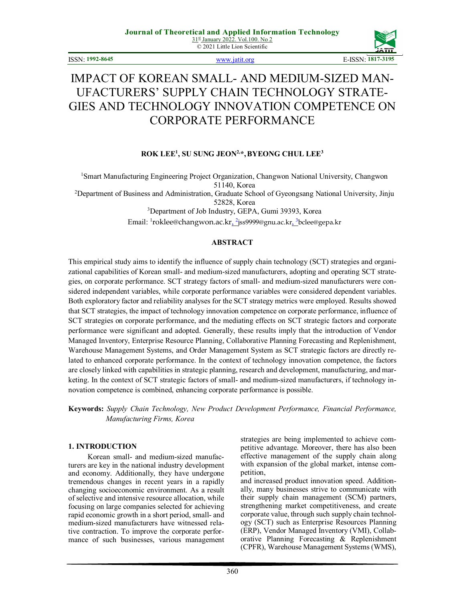© 2021 Little Lion Scientific



ISSN: **1992-8645** www.jatit.org E-ISSN: **1817-3195**

# IMPACT OF KOREAN SMALL- AND MEDIUM-SIZED MAN-UFACTURERS' SUPPLY CHAIN TECHNOLOGY STRATE-GIES AND TECHNOLOGY INNOVATION COMPETENCE ON CORPORATE PERFORMANCE

# **ROK LEE<sup>1</sup> , SU SUNG JEON2,\*,BYEONG CHUL LEE<sup>3</sup>**

<sup>1</sup>Smart Manufacturing Engineering Project Organization, Changwon National University, Changwon 51140, Korea

<sup>2</sup>Department of Business and Administration, Graduate School of Gyeongsang National University, Jinju 52828, Korea

<sup>3</sup>Department of Job Industry, GEPA, Gumi 39393, Korea

Email: <sup>1</sup>roklee@changwon.ac.kr<u>, <sup>2</sup>j</u>ss9999@gnu.ac.kr<u>, <sup>3</sup></u>bclee@gepa.kr

# **ABSTRACT**

This empirical study aims to identify the influence of supply chain technology (SCT) strategies and organizational capabilities of Korean small- and medium-sized manufacturers, adopting and operating SCT strategies, on corporate performance. SCT strategy factors of small- and medium-sized manufacturers were considered independent variables, while corporate performance variables were considered dependent variables. Both exploratory factor and reliability analyses for the SCT strategy metrics were employed. Results showed that SCT strategies, the impact of technology innovation competence on corporate performance, influence of SCT strategies on corporate performance, and the mediating effects on SCT strategic factors and corporate performance were significant and adopted. Generally, these results imply that the introduction of Vendor Managed Inventory, Enterprise Resource Planning, Collaborative Planning Forecasting and Replenishment, Warehouse Management Systems, and Order Management System as SCT strategic factors are directly related to enhanced corporate performance. In the context of technology innovation competence, the factors are closely linked with capabilities in strategic planning, research and development, manufacturing, and marketing. In the context of SCT strategic factors of small- and medium-sized manufacturers, if technology innovation competence is combined, enhancing corporate performance is possible.

**Keywords:** *Supply Chain Technology, New Product Development Performance, Financial Performance, Manufacturing Firms, Korea*

### **1. INTRODUCTION**

Korean small- and medium-sized manufacturers are key in the national industry development and economy. Additionally, they have undergone tremendous changes in recent years in a rapidly changing socioeconomic environment. As a result of selective and intensive resource allocation, while focusing on large companies selected for achieving rapid economic growth in a short period, small- and medium-sized manufacturers have witnessed relative contraction. To improve the corporate performance of such businesses, various management strategies are being implemented to achieve competitive advantage. Moreover, there has also been effective management of the supply chain along with expansion of the global market, intense competition,

and increased product innovation speed. Additionally, many businesses strive to communicate with their supply chain management (SCM) partners, strengthening market competitiveness, and create corporate value, through such supply chain technology (SCT) such as Enterprise Resources Planning (ERP), Vendor Managed Inventory (VMI), Collaborative Planning Forecasting & Replenishment (CPFR), Warehouse Management Systems (WMS),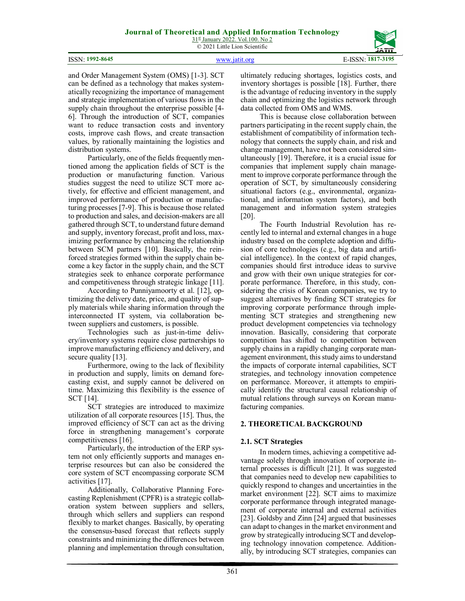#### ISSN: **1992-8645** www.jatit.org E-ISSN: **1817-3195**



and Order Management System (OMS) [1-3]. SCT can be defined as a technology that makes systematically recognizing the importance of management and strategic implementation of various flows in the supply chain throughout the enterprise possible [4- 6]. Through the introduction of SCT, companies want to reduce transaction costs and inventory costs, improve cash flows, and create transaction values, by rationally maintaining the logistics and distribution systems.

Particularly, one of the fields frequently mentioned among the application fields of SCT is the production or manufacturing function. Various studies suggest the need to utilize SCT more actively, for effective and efficient management, and improved performance of production or manufacturing processes [7-9]. This is because those related to production and sales, and decision-makers are all gathered through SCT, to understand future demand and supply, inventory forecast, profit and loss, maximizing performance by enhancing the relationship between SCM partners [10]. Basically, the reinforced strategies formed within the supply chain become a key factor in the supply chain, and the SCT strategies seek to enhance corporate performance and competitiveness through strategic linkage [11].

According to Punniyamoorty et al. [12], optimizing the delivery date, price, and quality of supply materials while sharing information through the interconnected IT system, via collaboration between suppliers and customers, is possible.

Technologies such as just-in-time delivery/inventory systems require close partnerships to improve manufacturing efficiency and delivery, and secure quality [13].

Furthermore, owing to the lack of flexibility in production and supply, limits on demand forecasting exist, and supply cannot be delivered on time. Maximizing this flexibility is the essence of SCT [14].

SCT strategies are introduced to maximize utilization of all corporate resources [15]. Thus, the improved efficiency of SCT can act as the driving force in strengthening management's corporate competitiveness [16].

Particularly, the introduction of the ERP system not only efficiently supports and manages enterprise resources but can also be considered the core system of SCT encompassing corporate SCM activities [17].

Additionally, Collaborative Planning Forecasting Replenishment (CPFR) is a strategic collaboration system between suppliers and sellers, through which sellers and suppliers can respond flexibly to market changes. Basically, by operating the consensus-based forecast that reflects supply constraints and minimizing the differences between planning and implementation through consultation,

ultimately reducing shortages, logistics costs, and inventory shortages is possible [18]. Further, there is the advantage of reducing inventory in the supply chain and optimizing the logistics network through data collected from OMS and WMS.

This is because close collaboration between partners participating in the recent supply chain, the establishment of compatibility of information technology that connects the supply chain, and risk and change management, have not been considered simultaneously [19]. Therefore, it is a crucial issue for companies that implement supply chain management to improve corporate performance through the operation of SCT, by simultaneously considering situational factors (e.g., environmental, organizational, and information system factors), and both management and information system strategies [20].

The Fourth Industrial Revolution has recently led to internal and external changes in a huge industry based on the complete adoption and diffusion of core technologies (e.g., big data and artificial intelligence). In the context of rapid changes, companies should first introduce ideas to survive and grow with their own unique strategies for corporate performance. Therefore, in this study, considering the crisis of Korean companies, we try to suggest alternatives by finding SCT strategies for improving corporate performance through implementing SCT strategies and strengthening new product development competencies via technology innovation. Basically, considering that corporate competition has shifted to competition between supply chains in a rapidly changing corporate management environment, this study aims to understand the impacts of corporate internal capabilities, SCT strategies, and technology innovation competence on performance. Moreover, it attempts to empirically identify the structural causal relationship of mutual relations through surveys on Korean manufacturing companies.

# **2. THEORETICAL BACKGROUND**

# **2.1. SCT Strategies**

In modern times, achieving a competitive advantage solely through innovation of corporate internal processes is difficult [21]. It was suggested that companies need to develop new capabilities to quickly respond to changes and uncertainties in the market environment [22]. SCT aims to maximize corporate performance through integrated management of corporate internal and external activities [23]. Goldsby and Zinn [24] argued that businesses can adapt to changes in the market environment and grow by strategically introducing SCT and developing technology innovation competence. Additionally, by introducing SCT strategies, companies can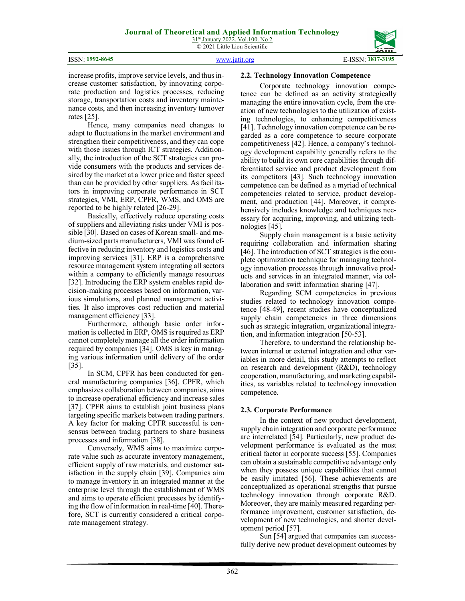

increase profits, improve service levels, and thus increase customer satisfaction, by innovating corporate production and logistics processes, reducing storage, transportation costs and inventory maintenance costs, and then increasing inventory turnover rates [25].

Hence, many companies need changes to adapt to fluctuations in the market environment and strengthen their competitiveness, and they can cope with those issues through ICT strategies. Additionally, the introduction of the SCT strategies can provide consumers with the products and services desired by the market at a lower price and faster speed than can be provided by other suppliers. As facilitators in improving corporate performance in SCT strategies, VMI, ERP, CPFR, WMS, and OMS are reported to be highly related [26-29].

Basically, effectively reduce operating costs of suppliers and alleviating risks under VMI is possible [30]. Based on cases of Korean small- and medium-sized parts manufacturers, VMI was found effective in reducing inventory and logistics costs and improving services [31]. ERP is a comprehensive resource management system integrating all sectors within a company to efficiently manage resources [32]. Introducing the ERP system enables rapid decision-making processes based on information, various simulations, and planned management activities. It also improves cost reduction and material management efficiency [33].

Furthermore, although basic order information is collected in ERP, OMS is required as ERP cannot completely manage all the order information required by companies [34]. OMS is key in managing various information until delivery of the order [35].

In SCM, CPFR has been conducted for general manufacturing companies [36]. CPFR, which emphasizes collaboration between companies, aims to increase operational efficiency and increase sales [37]. CPFR aims to establish joint business plans targeting specific markets between trading partners. A key factor for making CPFR successful is consensus between trading partners to share business processes and information [38].

Conversely, WMS aims to maximize corporate value such as accurate inventory management, efficient supply of raw materials, and customer satisfaction in the supply chain [39]. Companies aim to manage inventory in an integrated manner at the enterprise level through the establishment of WMS and aims to operate efficient processes by identifying the flow of information in real-time [40]. Therefore, SCT is currently considered a critical corporate management strategy.

### **2.2. Technology Innovation Competence**

Corporate technology innovation competence can be defined as an activity strategically managing the entire innovation cycle, from the creation of new technologies to the utilization of existing technologies, to enhancing competitiveness [41]. Technology innovation competence can be regarded as a core competence to secure corporate competitiveness [42]. Hence, a company's technology development capability generally refers to the ability to build its own core capabilities through differentiated service and product development from its competitors [43]. Such technology innovation competence can be defined as a myriad of technical competencies related to service, product development, and production [44]. Moreover, it comprehensively includes knowledge and techniques necessary for acquiring, improving, and utilizing technologies [45].

Supply chain management is a basic activity requiring collaboration and information sharing [46]. The introduction of SCT strategies is the complete optimization technique for managing technology innovation processes through innovative products and services in an integrated manner, via collaboration and swift information sharing [47].

Regarding SCM competencies in previous studies related to technology innovation competence [48-49], recent studies have conceptualized supply chain competencies in three dimensions such as strategic integration, organizational integration, and information integration [50-53].

Therefore, to understand the relationship between internal or external integration and other variables in more detail, this study attempts to reflect on research and development (R&D), technology cooperation, manufacturing, and marketing capabilities, as variables related to technology innovation competence.

#### **2.3. Corporate Performance**

In the context of new product development, supply chain integration and corporate performance are interrelated [54]. Particularly, new product development performance is evaluated as the most critical factor in corporate success [55]. Companies can obtain a sustainable competitive advantage only when they possess unique capabilities that cannot be easily imitated [56]. These achievements are conceptualized as operational strengths that pursue technology innovation through corporate R&D. Moreover, they are mainly measured regarding performance improvement, customer satisfaction, development of new technologies, and shorter development period [57].

Sun [54] argued that companies can successfully derive new product development outcomes by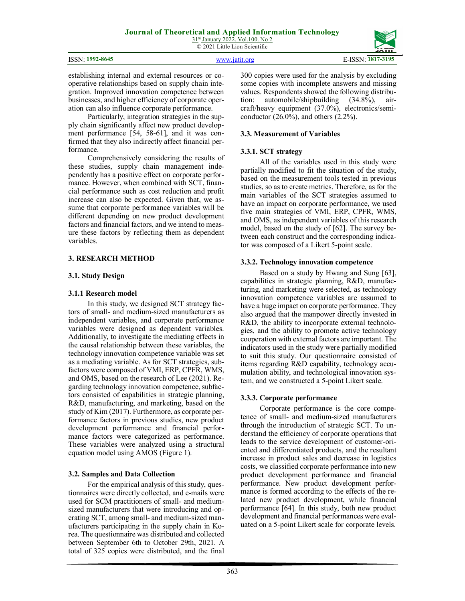|               | GATIT.   |
|---------------|----------|
| 8645<br>ISSN: | 3105<br> |

establishing internal and external resources or cooperative relationships based on supply chain integration. Improved innovation competence between businesses, and higher efficiency of corporate operation can also influence corporate performance.

Particularly, integration strategies in the supply chain significantly affect new product development performance [54, 58-61], and it was confirmed that they also indirectly affect financial performance.

Comprehensively considering the results of these studies, supply chain management independently has a positive effect on corporate performance. However, when combined with SCT, financial performance such as cost reduction and profit increase can also be expected. Given that, we assume that corporate performance variables will be different depending on new product development factors and financial factors, and we intend to measure these factors by reflecting them as dependent variables.

# **3. RESEARCH METHOD**

# **3.1. Study Design**

# **3.1.1 Research model**

In this study, we designed SCT strategy factors of small- and medium-sized manufacturers as independent variables, and corporate performance variables were designed as dependent variables. Additionally, to investigate the mediating effects in the causal relationship between these variables, the technology innovation competence variable was set as a mediating variable. As for SCT strategies, subfactors were composed of VMI, ERP, CPFR, WMS, and OMS, based on the research of Lee (2021). Regarding technology innovation competence, subfactors consisted of capabilities in strategic planning, R&D, manufacturing, and marketing, based on the study of Kim (2017). Furthermore, as corporate performance factors in previous studies, new product development performance and financial performance factors were categorized as performance. These variables were analyzed using a structural equation model using AMOS (Figure 1).

# **3.2. Samples and Data Collection**

For the empirical analysis of this study, questionnaires were directly collected, and e-mails were used for SCM practitioners of small- and mediumsized manufacturers that were introducing and operating SCT, among small- and medium-sized manufacturers participating in the supply chain in Korea. The questionnaire was distributed and collected between September 6th to October 29th, 2021. A total of 325 copies were distributed, and the final

300 copies were used for the analysis by excluding some copies with incomplete answers and missing values. Respondents showed the following distribution: automobile/shipbuilding (34.8%), aircraft/heavy equipment (37.0%), electronics/semiconductor (26.0%), and others (2.2%).

# **3.3. Measurement of Variables**

# **3.3.1. SCT strategy**

All of the variables used in this study were partially modified to fit the situation of the study, based on the measurement tools tested in previous studies, so as to create metrics. Therefore, as for the main variables of the SCT strategies assumed to have an impact on corporate performance, we used five main strategies of VMI, ERP, CPFR, WMS, and OMS, as independent variables of this research model, based on the study of [62]. The survey between each construct and the corresponding indicator was composed of a Likert 5-point scale.

# **3.3.2. Technology innovation competence**

Based on a study by Hwang and Sung [63], capabilities in strategic planning, R&D, manufacturing, and marketing were selected, as technology innovation competence variables are assumed to have a huge impact on corporate performance. They also argued that the manpower directly invested in R&D, the ability to incorporate external technologies, and the ability to promote active technology cooperation with external factors are important. The indicators used in the study were partially modified to suit this study. Our questionnaire consisted of items regarding R&D capability, technology accumulation ability, and technological innovation system, and we constructed a 5-point Likert scale.

# **3.3.3. Corporate performance**

Corporate performance is the core competence of small- and medium-sized manufacturers through the introduction of strategic SCT. To understand the efficiency of corporate operations that leads to the service development of customer-oriented and differentiated products, and the resultant increase in product sales and decrease in logistics costs, we classified corporate performance into new product development performance and financial performance. New product development performance is formed according to the effects of the related new product development, while financial performance [64]. In this study, both new product development and financial performances were evaluated on a 5-point Likert scale for corporate levels.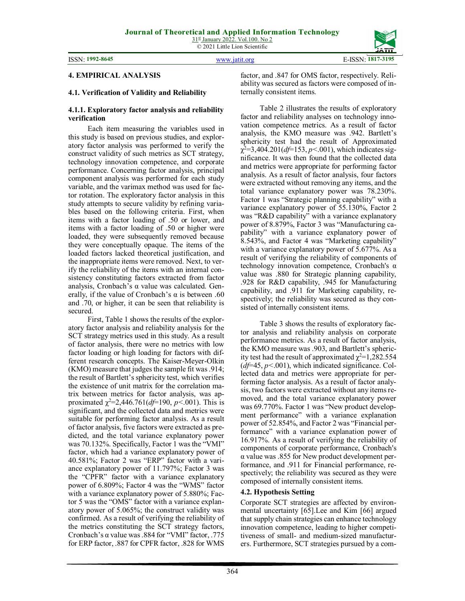

#### **4. EMPIRICAL ANALYSIS**

#### **4.1. Verification of Validity and Reliability**

#### **4.1.1. Exploratory factor analysis and reliability verification**

Each item measuring the variables used in this study is based on previous studies, and exploratory factor analysis was performed to verify the construct validity of such metrics as SCT strategy, technology innovation competence, and corporate performance. Concerning factor analysis, principal component analysis was performed for each study variable, and the varimax method was used for factor rotation. The exploratory factor analysis in this study attempts to secure validity by refining variables based on the following criteria. First, when items with a factor loading of .50 or lower, and items with a factor loading of .50 or higher were loaded, they were subsequently removed because they were conceptually opaque. The items of the loaded factors lacked theoretical justification, and the inappropriate items were removed. Next, to verify the reliability of the items with an internal consistency constituting factors extracted from factor analysis, Cronbach's α value was calculated. Generally, if the value of Cronbach's  $\alpha$  is between .60 and .70, or higher, it can be seen that reliability is secured.

First, Table 1 shows the results of the exploratory factor analysis and reliability analysis for the SCT strategy metrics used in this study. As a result of factor analysis, there were no metrics with low factor loading or high loading for factors with different research concepts. The Kaiser-Meyer-Olkin (KMO) measure that judges the sample fit was .914; the result of Bartlett's sphericity test, which verifies the existence of unit matrix for the correlation matrix between metrics for factor analysis, was approximated  $\chi^2$ =2,446.761(*df*=190, *p*<.001). This is significant, and the collected data and metrics were suitable for performing factor analysis. As a result of factor analysis, five factors were extracted as predicted, and the total variance explanatory power was 70.132%. Specifically, Factor 1 was the "VMI" factor, which had a variance explanatory power of 40.581%; Factor 2 was "ERP" factor with a variance explanatory power of 11.797%; Factor 3 was the "CPFR" factor with a variance explanatory power of 6.809%; Factor 4 was the "WMS" factor with a variance explanatory power of 5.880%; Factor 5 was the "OMS" factor with a variance explanatory power of 5.065%; the construct validity was confirmed. As a result of verifying the reliability of the metrics constituting the SCT strategy factors, Cronbach's α value was .884 for "VMI" factor, .775 for ERP factor, .887 for CPFR factor, .828 for WMS

factor, and .847 for OMS factor, respectively. Reliability was secured as factors were composed of internally consistent items.

Table 2 illustrates the results of exploratory factor and reliability analyses on technology innovation competence metrics. As a result of factor analysis, the KMO measure was .942. Bartlett's sphericity test had the result of Approximated χ 2=3,404.201(*df*=153, *p<*.001), which indicates significance. It was then found that the collected data and metrics were appropriate for performing factor analysis. As a result of factor analysis, four factors were extracted without removing any items, and the total variance explanatory power was 78.230%. Factor 1 was "Strategic planning capability" with a variance explanatory power of 55.130%, Factor 2 was "R&D capability" with a variance explanatory power of 8.879%, Factor 3 was "Manufacturing capability" with a variance explanatory power of 8.543%, and Factor 4 was "Marketing capability" with a variance explanatory power of 5.677%. As a result of verifying the reliability of components of technology innovation competence, Cronbach's α value was .880 for Strategic planning capability, .928 for R&D capability, .945 for Manufacturing capability, and .911 for Marketing capability, respectively; the reliability was secured as they consisted of internally consistent items.

Table 3 shows the results of exploratory factor analysis and reliability analysis on corporate performance metrics. As a result of factor analysis, the KMO measure was .903, and Bartlett's sphericity test had the result of approximated  $\chi^2$ =1,282.554 (*df*=45, *p<*.001), which indicated significance. Collected data and metrics were appropriate for performing factor analysis. As a result of factor analysis, two factors were extracted without any items removed, and the total variance explanatory power was 69.770%. Factor 1 was "New product development performance" with a variance explanation power of 52.854%, and Factor 2 was "Financial performance" with a variance explanation power of 16.917%. As a result of verifying the reliability of components of corporate performance, Cronbach's α value was .855 for New product development performance, and .911 for Financial performance, respectively; the reliability was secured as they were composed of internally consistent items.

#### **4.2. Hypothesis Setting**

Corporate SCT strategies are affected by environmental uncertainty [65].Lee and Kim [66] argued that supply chain strategies can enhance technology innovation competence, leading to higher competitiveness of small- and medium-sized manufacturers. Furthermore, SCT strategies pursued by a com-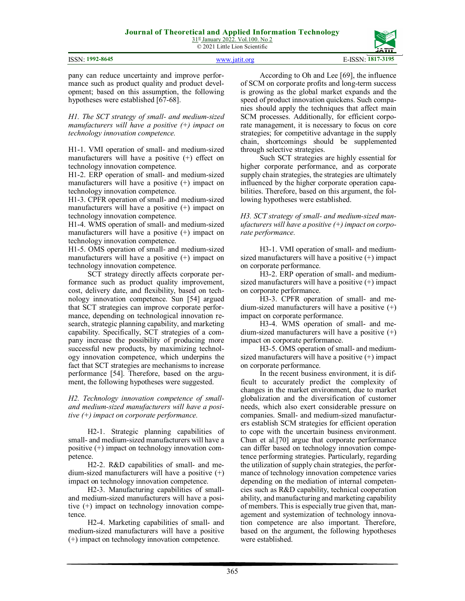

pany can reduce uncertainty and improve performance such as product quality and product development; based on this assumption, the following hypotheses were established [67-68].

*H1. The SCT strategy of small- and medium-sized manufacturers will have a positive (+) impact on technology innovation competence.* 

H1-1. VMI operation of small- and medium-sized manufacturers will have a positive (+) effect on technology innovation competence.

H1-2. ERP operation of small- and medium-sized manufacturers will have a positive (+) impact on technology innovation competence.

H1-3. CPFR operation of small- and medium-sized manufacturers will have a positive  $(+)$  impact on technology innovation competence.

H1-4. WMS operation of small- and medium-sized manufacturers will have a positive (+) impact on technology innovation competence.

H1-5. OMS operation of small- and medium-sized manufacturers will have a positive (+) impact on technology innovation competence.

SCT strategy directly affects corporate performance such as product quality improvement, cost, delivery date, and flexibility, based on technology innovation competence. Sun [54] argued that SCT strategies can improve corporate performance, depending on technological innovation research, strategic planning capability, and marketing capability. Specifically, SCT strategies of a company increase the possibility of producing more successful new products, by maximizing technology innovation competence, which underpins the fact that SCT strategies are mechanisms to increase performance [54]. Therefore, based on the argument, the following hypotheses were suggested.

*H2. Technology innovation competence of smalland medium-sized manufacturers will have a positive (+) impact on corporate performance.* 

H2-1. Strategic planning capabilities of small- and medium-sized manufacturers will have a positive (+) impact on technology innovation competence.

H2-2. R&D capabilities of small- and medium-sized manufacturers will have a positive  $(+)$ impact on technology innovation competence.

H2-3. Manufacturing capabilities of smalland medium-sized manufacturers will have a positive (+) impact on technology innovation competence.

H2-4. Marketing capabilities of small- and medium-sized manufacturers will have a positive (+) impact on technology innovation competence.

According to Oh and Lee [69], the influence of SCM on corporate profits and long-term success is growing as the global market expands and the speed of product innovation quickens. Such companies should apply the techniques that affect main SCM processes. Additionally, for efficient corporate management, it is necessary to focus on core strategies; for competitive advantage in the supply chain, shortcomings should be supplemented through selective strategies.

Such SCT strategies are highly essential for higher corporate performance, and as corporate supply chain strategies, the strategies are ultimately influenced by the higher corporate operation capabilities. Therefore, based on this argument, the following hypotheses were established.

*H3. SCT strategy of small- and medium-sized manufacturers will have a positive (+) impact on corporate performance.* 

H3-1. VMI operation of small- and mediumsized manufacturers will have a positive (+) impact on corporate performance.

H3-2. ERP operation of small- and mediumsized manufacturers will have a positive (+) impact on corporate performance.

H3-3. CPFR operation of small- and medium-sized manufacturers will have a positive (+) impact on corporate performance.

H3-4. WMS operation of small- and medium-sized manufacturers will have a positive  $(+)$ impact on corporate performance.

H3-5. OMS operation of small- and mediumsized manufacturers will have a positive (+) impact on corporate performance.

In the recent business environment, it is difficult to accurately predict the complexity of changes in the market environment, due to market globalization and the diversification of customer needs, which also exert considerable pressure on companies. Small- and medium-sized manufacturers establish SCM strategies for efficient operation to cope with the uncertain business environment. Chun et al.[70] argue that corporate performance can differ based on technology innovation competence performing strategies. Particularly, regarding the utilization of supply chain strategies, the performance of technology innovation competence varies depending on the mediation of internal competencies such as R&D capability, technical cooperation ability, and manufacturing and marketing capability of members. This is especially true given that, management and systemization of technology innovation competence are also important. Therefore, based on the argument, the following hypotheses were established.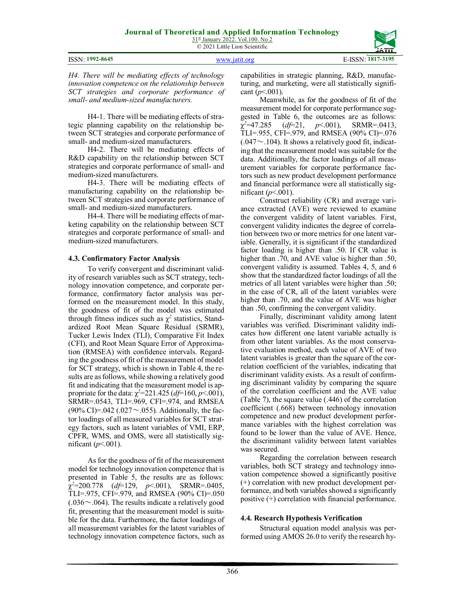| 31st January 2022. Vol.100. No 2 |  |  |  |
|----------------------------------|--|--|--|
| © 2021 Little Lion Scientific    |  |  |  |

|  | <b>ISSN: 1992-8645</b> |
|--|------------------------|
|--|------------------------|

ISSN: **1992-8645** www.jatit.org E-ISSN: **1817-3195**



*H4. There will be mediating effects of technology innovation competence on the relationship between SCT strategies and corporate performance of small- and medium-sized manufacturers.* 

H4-1. There will be mediating effects of strategic planning capability on the relationship between SCT strategies and corporate performance of small- and medium-sized manufacturers.

H4-2. There will be mediating effects of R&D capability on the relationship between SCT strategies and corporate performance of small- and medium-sized manufacturers.

H4-3. There will be mediating effects of manufacturing capability on the relationship between SCT strategies and corporate performance of small- and medium-sized manufacturers.

H4-4. There will be mediating effects of marketing capability on the relationship between SCT strategies and corporate performance of small- and medium-sized manufacturers.

### **4.3. Confirmatory Factor Analysis**

To verify convergent and discriminant validity of research variables such as SCT strategy, technology innovation competence, and corporate performance, confirmatory factor analysis was performed on the measurement model. In this study, the goodness of fit of the model was estimated through fitness indices such as  $\chi^2$  statistics, Standardized Root Mean Square Residual (SRMR), Tucker Lewis Index (TLI), Comparative Fit Index (CFI), and Root Mean Square Error of Approximation (RMSEA) with confidence intervals. Regarding the goodness of fit of the measurement of model for SCT strategy, which is shown in Table 4, the results are as follows, while showing a relatively good fit and indicating that the measurement model is appropriate for the data: χ*<sup>2</sup>*=221.425 (*df*=160, *p*<.001), SRMR=.0543, TLI=.969, CFI=.974, and RMSEA (90% CI)=.042 (.027 $\sim$ .055). Additionally, the factor loadings of all measured variables for SCT strategy factors, such as latent variables of VMI, ERP, CPFR, WMS, and OMS, were all statistically significant  $(p<.001)$ .

As for the goodness of fit of the measurement model for technology innovation competence that is presented in Table 5, the results are as follows: χ *<sup>2</sup>*=200.778 (*df*=129, *p*<.001), SRMR=.0405, TLI=.975, CFI=.979, and RMSEA (90% CI)=.050  $(.036 \sim .064)$ . The results indicate a relatively good fit, presenting that the measurement model is suitable for the data. Furthermore, the factor loadings of all measurement variables for the latent variables of technology innovation competence factors, such as

capabilities in strategic planning, R&D, manufacturing, and marketing, were all statistically significant  $(p<.001)$ .

Meanwhile, as for the goodness of fit of the measurement model for corporate performance suggested in Table 6, the outcomes are as follows:<br> $\gamma^2 = 47.285$  (*d*f=21, *p* < 001), SRMR= 0413, χ *<sup>2</sup>*=47.285 (*df*=21, *p*<.001), SRMR=.0413, TLI=.955, CFI=.979, and RMSEA (90% CI)=.076  $(.047 \sim .104)$ . It shows a relatively good fit, indicating that the measurement model was suitable for the data. Additionally, the factor loadings of all measurement variables for corporate performance factors such as new product development performance and financial performance were all statistically significant (*p*<.001).

Construct reliability (CR) and average variance extracted (AVE) were reviewed to examine the convergent validity of latent variables. First, convergent validity indicates the degree of correlation between two or more metrics for one latent variable. Generally, it is significant if the standardized factor loading is higher than .50. If CR value is higher than .70, and AVE value is higher than .50, convergent validity is assumed. Tables 4, 5, and 6 show that the standardized factor loadings of all the metrics of all latent variables were higher than .50; in the case of CR, all of the latent variables were higher than .70, and the value of AVE was higher than .50, confirming the convergent validity.

Finally, discriminant validity among latent variables was verified. Discriminant validity indicates how different one latent variable actually is from other latent variables. As the most conservative evaluation method, each value of AVE of two latent variables is greater than the square of the correlation coefficient of the variables, indicating that discriminant validity exists. As a result of confirming discriminant validity by comparing the square of the correlation coefficient and the AVE value (Table 7), the square value (.446) of the correlation coefficient (.668) between technology innovation competence and new product development performance variables with the highest correlation was found to be lower than the value of AVE. Hence, the discriminant validity between latent variables was secured.

Regarding the correlation between research variables, both SCT strategy and technology innovation competence showed a significantly positive (+) correlation with new product development performance, and both variables showed a significantly positive (+) correlation with financial performance.

# **4.4. Research Hypothesis Verification**

Structural equation model analysis was performed using AMOS 26.0 to verify the research hy-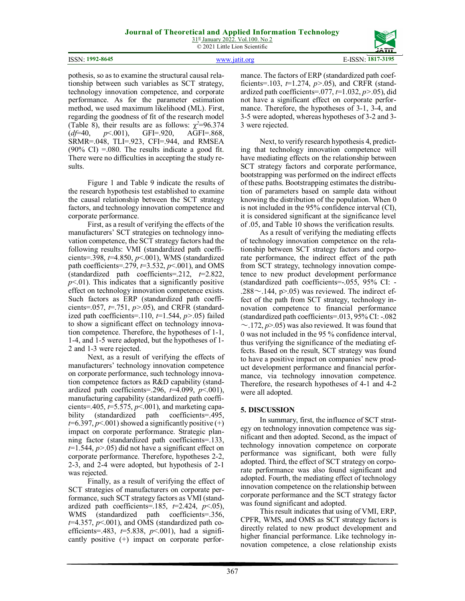|                                     | JATIT                      |
|-------------------------------------|----------------------------|
| $: 1992 - 8645$<br><b>ICCM</b><br>N | ÷N.<br>. .<br>VII.<br>1011 |

pothesis, so as to examine the structural causal relationship between such variables as SCT strategy, technology innovation competence, and corporate performance. As for the parameter estimation method, we used maximum likelihood (ML). First, regarding the goodness of fit of the research model (Table 8), their results are as follows:  $\chi^2 = 96.374$ <br>(*d*f=40, p<.001), GFI=.920, AGFI=.868, (*df*=40, *p*<.001), GFI=.920, AGFI=.868, SRMR=.048, TLI=.923, CFI=.944, and RMSEA  $(90\% \text{ CI}) = 0.080$ . The results indicate a good fit. There were no difficulties in accepting the study results.

Figure 1 and Table 9 indicate the results of the research hypothesis test established to examine the causal relationship between the SCT strategy factors, and technology innovation competence and corporate performance.

First, as a result of verifying the effects of the manufacturers' SCT strategies on technology innovation competence, the SCT strategy factors had the following results: VMI (standardized path coefficients=.398, *t*=4.850, *p*<.001), WMS (standardized path coefficients=.279, *t*=3.532, *p*<.001), and OMS (standardized path coefficients=.212, *t*=2.822,  $p<0$ 1). This indicates that a significantly positive effect on technology innovation competence exists. Such factors as ERP (standardized path coefficients=.057, *t*=.751, *p>*.05), and CRFR (standardized path coefficients= $.110, t=1.544, p>0.05$ ) failed to show a significant effect on technology innovation competence. Therefore, the hypotheses of 1-1, 1-4, and 1-5 were adopted, but the hypotheses of 1- 2 and 1-3 were rejected.

Next, as a result of verifying the effects of manufacturers' technology innovation competence on corporate performance, such technology innovation competence factors as R&D capability (standardized path coefficients=.296, *t*=4.099, *p*<.001), manufacturing capability (standardized path coefficients=.405, *t*=5.575, *p*<.001), and marketing capability (standardized path coefficients=.495,  $t=6.397, p<.001$ ) showed a significantly positive  $(+)$ impact on corporate performance. Strategic planning factor (standardized path coefficients=.133, *t*=1.544, *p>*.05) did not have a significant effect on corporate performance. Therefore, hypotheses 2-2, 2-3, and 2-4 were adopted, but hypothesis of 2-1 was rejected.

Finally, as a result of verifying the effect of SCT strategies of manufacturers on corporate performance, such SCT strategy factors as VMI (standardized path coefficients=.185,  $t=2.424$ ,  $p<.05$ ), WMS (standardized path coefficients=.356,  $t=4.357$ ,  $p<001$ ), and OMS (standardized path coefficients=.483, *t*=5.838, *p*<.001), had a significantly positive (+) impact on corporate performance. The factors of ERP (standardized path coefficients=.103, *t*=1.274, *p>*.05), and CRFR (standardized path coefficients=.077, *t*=1.032, *p>*.05), did not have a significant effect on corporate performance. Therefore, the hypotheses of 3-1, 3-4, and 3-5 were adopted, whereas hypotheses of 3-2 and 3- 3 were rejected.

Next, to verify research hypothesis 4, predicting that technology innovation competence will have mediating effects on the relationship between SCT strategy factors and corporate performance, bootstrapping was performed on the indirect effects of these paths. Bootstrapping estimates the distribution of parameters based on sample data without knowing the distribution of the population. When 0 is not included in the 95% confidence interval (CI), it is considered significant at the significance level of .05, and Table 10 shows the verification results.

As a result of verifying the mediating effects of technology innovation competence on the relationship between SCT strategy factors and corporate performance, the indirect effect of the path from SCT strategy, technology innovation competence to new product development performance (standardized path coefficients=-.055, 95% CI: - .288 $\sim$ .144, p $> 05$ ) was reviewed. The indirect effect of the path from SCT strategy, technology innovation competence to financial performance (standardized path coefficients=.013, 95% CI: -.082  $\sim$ .172,  $p$  $>$ .05) was also reviewed. It was found that 0 was not included in the 95 % confidence interval, thus verifying the significance of the mediating effects. Based on the result, SCT strategy was found to have a positive impact on companies' new product development performance and financial performance, via technology innovation competence. Therefore, the research hypotheses of 4-1 and 4-2 were all adopted.

# **5. DISCUSSION**

In summary, first, the influence of SCT strategy on technology innovation competence was significant and then adopted. Second, as the impact of technology innovation competence on corporate performance was significant, both were fully adopted. Third, the effect of SCT strategy on corporate performance was also found significant and adopted. Fourth, the mediating effect of technology innovation competence on the relationship between corporate performance and the SCT strategy factor was found significant and adopted.

This result indicates that using of VMI, ERP, CPFR, WMS, and OMS as SCT strategy factors is directly related to new product development and higher financial performance. Like technology innovation competence, a close relationship exists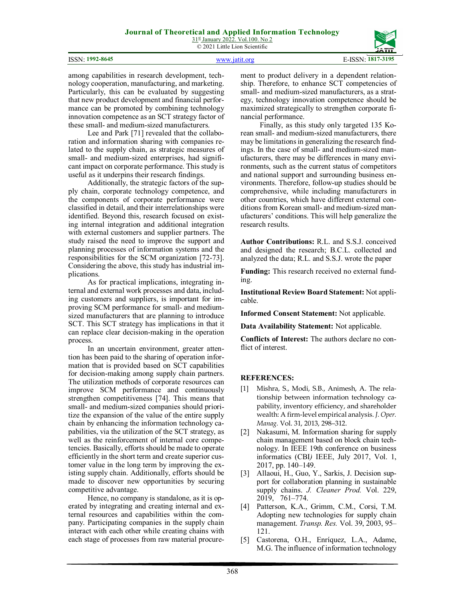$31<sup>st</sup>$  January 2022. Vol.100. No 2 © 2021 Little Lion Scientific

#### ISSN: **1992-8645** www.jatit.org E-ISSN: **1817-3195**



among capabilities in research development, technology cooperation, manufacturing, and marketing. Particularly, this can be evaluated by suggesting that new product development and financial performance can be promoted by combining technology innovation competence as an SCT strategy factor of these small- and medium-sized manufacturers.

Lee and Park [71] revealed that the collaboration and information sharing with companies related to the supply chain, as strategic measures of small- and medium-sized enterprises, had significant impact on corporate performance. This study is useful as it underpins their research findings.

Additionally, the strategic factors of the supply chain, corporate technology competence, and the components of corporate performance were classified in detail, and their interrelationships were identified. Beyond this, research focused on existing internal integration and additional integration with external customers and supplier partners. The study raised the need to improve the support and planning processes of information systems and the responsibilities for the SCM organization [72-73]. Considering the above, this study has industrial implications.

As for practical implications, integrating internal and external work processes and data, including customers and suppliers, is important for improving SCM performance for small- and mediumsized manufacturers that are planning to introduce SCT. This SCT strategy has implications in that it can replace clear decision-making in the operation process.

In an uncertain environment, greater attention has been paid to the sharing of operation information that is provided based on SCT capabilities for decision-making among supply chain partners. The utilization methods of corporate resources can improve SCM performance and continuously strengthen competitiveness [74]. This means that small- and medium-sized companies should prioritize the expansion of the value of the entire supply chain by enhancing the information technology capabilities, via the utilization of the SCT strategy, as well as the reinforcement of internal core competencies. Basically, efforts should be made to operate efficiently in the short term and create superior customer value in the long term by improving the existing supply chain. Additionally, efforts should be made to discover new opportunities by securing competitive advantage.

Hence, no company is standalone, as it is operated by integrating and creating internal and external resources and capabilities within the company. Participating companies in the supply chain interact with each other while creating chains with each stage of processes from raw material procurement to product delivery in a dependent relationship. Therefore, to enhance SCT competencies of small- and medium-sized manufacturers, as a strategy, technology innovation competence should be maximized strategically to strengthen corporate financial performance.

Finally, as this study only targeted 135 Korean small- and medium-sized manufacturers, there may be limitations in generalizing the research findings. In the case of small- and medium-sized manufacturers, there may be differences in many environments, such as the current status of competitors and national support and surrounding business environments. Therefore, follow-up studies should be comprehensive, while including manufacturers in other countries, which have different external conditions from Korean small- and medium-sized manufacturers' conditions. This will help generalize the research results.

**Author Contributions:** R.L. and S.S.J. conceived and designed the research; B.C.L. collected and analyzed the data; R.L. and S.S.J. wrote the paper

**Funding:** This research received no external funding.

**Institutional Review Board Statement:** Not applicable.

**Informed Consent Statement:** Not applicable.

**Data Availability Statement:** Not applicable.

**Conflicts of Interest:** The authors declare no conflict of interest.

# **REFERENCES:**

- [1] Mishra, S., Modi, S.B., Animesh, A. The relationship between information technology capability, inventory efficiency, and shareholder wealth: A firm-level empirical analysis. *J. Oper. Manag.* Vol. 31, 2013, 298–312.
- [2] Nakasumi, M. Information sharing for supply chain management based on block chain technology. In IEEE 19th conference on business informatics (CBI*)* IEEE, July 2017, Vol. 1, 2017, pp. 140–149.
- [3] Allaoui, H., Guo, Y., Sarkis, J. Decision support for collaboration planning in sustainable supply chains. *J. Cleaner Prod.* Vol. 229, 2019, 761–774.
- [4] Patterson, K.A., Grimm, C.M., Corsi, T.M. Adopting new technologies for supply chain management. *Transp. Res.* Vol. 39, 2003, 95– 121.
- [5] Castorena, O.H., Enríquez, L.A., Adame, M.G. The influence of information technology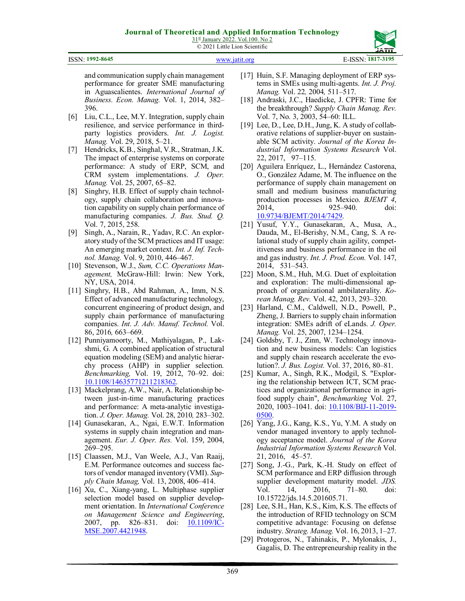ISSN: **1992-8645** www.jatit.org E-ISSN: **1817-3195**



and communication supply chain management performance for greater SME manufacturing in Aguascalientes. *International Journal of Business. Econ. Manag.* Vol. 1, 2014, 382– 396.

- [6] Liu, C.L., Lee, M.Y. Integration, supply chain resilience, and service performance in thirdparty logistics providers. *Int. J. Logist. Manag.* Vol. 29, 2018, 5–21.
- [7] Hendricks, K.B., Singhal, V.R., Stratman, J.K. The impact of enterprise systems on corporate performance: A study of ERP, SCM, and CRM system implementations. *J. Oper. Manag.* Vol. 25, 2007, 65–82.
- [8] Singhry, H.B. Effect of supply chain technology, supply chain collaboration and innovation capability on supply chain performance of manufacturing companies. *J. Bus. Stud. Q.*  Vol. 7, 2015, 258.
- [9] Singh, A., Narain, R., Yadav, R.C. An exploratory study of the SCM practices and IT usage: An emerging market context. *Int. J. Inf. Technol. Manag.* Vol. 9, 2010, 446–467.
- [10] Stevenson, W.J., *Sum, C.C. Operations Management,* McGraw-Hill: Irwin: New York, NY, USA, 2014.
- [11] Singhry, H.B., Abd Rahman, A., Imm, N.S. Effect of advanced manufacturing technology, concurrent engineering of product design, and supply chain performance of manufacturing companies. *Int. J. Adv. Manuf. Technol.* Vol. 86, 2016*,* 663–669.
- [12] Punniyamoorty, M., Mathiyalagan, P., Lakshmi, G. A combined application of structural equation modeling (SEM) and analytic hierarchy process (AHP) in supplier selection*. Benchmarking,* Vol. 19, 2012, 70–92. doi: 10.1108/14635771211218362.
- [13] Mackelprang, A.W., Nair, A. Relationship between just-in-time manufacturing practices and performance: A meta-analytic investigation. *J. Oper. Manag.* Vol. 28, 2010*,* 283–302.
- [14] Gunasekaran, A., Ngai, E.W.T. Information systems in supply chain integration and management. *Eur. J. Oper. Res.* Vol. 159, 2004, 269–295.
- [15] Claassen, M.J., Van Weele, A.J., Van Raaij, E.M. Performance outcomes and success factors of vendor managed inventory (VMI). *Supply Chain Manag,* Vol. 13, 2008, 406–414.
- [16] Xu, C., Xiang-yang, L. Multiphase supplier selection model based on supplier development orientation. In *International Conference on Management Science and Engineering*, 2007, pp. 826–831. doi: 10.1109/IC-MSE.2007.4421948.
- [17] Huin, S.F. Managing deployment of ERP systems in SMEs using multi-agents. *Int. J. Proj. Manag.* Vol. 22*,* 2004*,* 511–517.
- [18] Andraski, J.C., Haedicke, J. CPFR: Time for the breakthrough? *Supply Chain Manag. Rev.*  Vol. 7, No. 3, 2003, 54–60: ILL.
- [19] Lee, D., Lee, D.H., Jung, K. A study of collaborative relations of supplier-buyer on sustainable SCM activity. *Journal of the Korea Industrial Information Systems Research* Vol. 22, 2017, 97–115.
- [20] Aguilera Enríquez, L., Hernández Castorena, O., González Adame, M. The influence on the performance of supply chain management on small and medium business manufacturing production processes in Mexico. *BJEMT 4*, 2014, 925–940. doi: 10.9734/BJEMT/2014/7429.
- [21] Yusuf, Y.Y., Gunasekaran, A., Musa, A., Dauda, M., El-Berishy, N.M., Cang, S. A relational study of supply chain agility, competitiveness and business performance in the oil and gas industry. *Int. J. Prod. Econ.* Vol. 147, 2014, 531–543.
- [22] Moon, S.M., Huh, M.G. Duet of exploitation and exploration: The multi-dimensional approach of organizational ambilaterality. *Korean Manag. Rev.* Vol. 42, 2013, 293–320.
- [23] Harland, C.M., Caldwell, N.D., Powell, P., Zheng, J. Barriers to supply chain information integration: SMEs adrift of eLands. *J. Oper. Manag.* Vol. 25, 2007, 1234–1254.
- [24] Goldsby, T. J., Zinn, W. Technology innovation and new business models: Can logistics and supply chain research accelerate the evolution?. *J. Bus. Logist.* Vol. 37, 2016, 80–81.
- [25] Kumar, A., Singh, R.K., Modgil, S. "Exploring the relationship between ICT, SCM practices and organizational performance in agrifood supply chain", *Benchmarking* Vol. 27, 2020, 1003–1041. doi: 10.1108/BIJ-11-2019- 0500.
- [26] Yang, J.G., Kang, K.S., Yu, Y.M. A study on vendor managed inventory to apply technology acceptance model. *Journal of the Korea Industrial Information Systems Research* Vol. 21, 2016, 45–57.
- [27] Song, J.-G., Park, K.-H. Study on effect of SCM performance and ERP diffusion through supplier development maturity model. *JDS.*  Vol. 14, 2016, 71–80. doi: 10.15722/jds.14.5.201605.71.
- [28] Lee, S.H., Han, K.S., Kim, K.S. The effects of the introduction of RFID technology on SCM competitive advantage: Focusing on defense industry. *Strateg. Manag.* Vol. 16, 2013, 1–27.
- [29] Protogeros, N., Tahinakis, P., Mylonakis, J., Gagalis, D. The entrepreneurship reality in the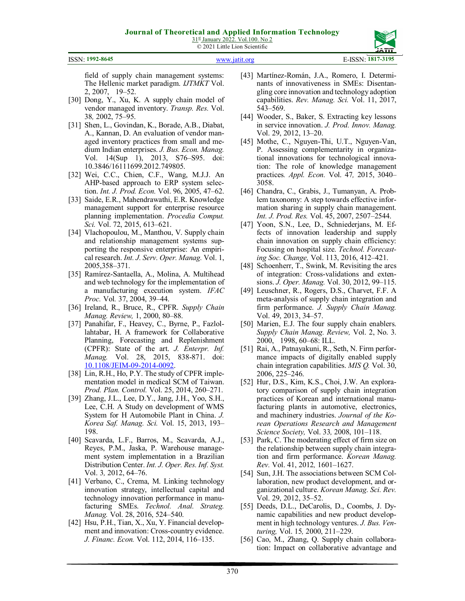

field of supply chain management systems: The Hellenic market paradigm. *IJTMKT* Vol. 2, 2007, 19–52.

- [30] Dong, Y., Xu, K. A supply chain model of vendor managed inventory. *Transp. Res.* Vol. 38*,* 2002, 75–95.
- [31] Shen, L., Govindan, K., Borade, A.B., Diabat, A., Kannan, D. An evaluation of vendor managed inventory practices from small and medium Indian enterprises. *J. Bus. Econ. Manag.*  Vol. 14(Sup 1), 2013, S76–S95. doi: 10.3846/16111699.2012.749805.
- [32] Wei, C.C., Chien, C.F., Wang, M.J.J. An AHP-based approach to ERP system selection. *Int. J. Prod. Econ.* Vol. 96, 2005, 47–62.
- [33] Saide, E.R., Mahendrawathi, E.R. Knowledge management support for enterprise resource planning implementation. *Procedia Comput. Sci.* Vol. 72, 2015, 613–621.
- [34] Vlachopoulou, M., Manthou, V. Supply chain and relationship management systems supporting the responsive enterprise: An empirical research. *Int. J. Serv. Oper. Manag.* Vol. 1, 2005,358–371.
- [35] Ramírez-Santaella, A., Molina, A. Multihead and web technology for the implementation of a manufacturing execution system. *IFAC Proc.* Vol*.* 37, 2004, 39–44.
- [36] Ireland, R., Bruce, R., CPFR. *Supply Chain Manag. Review,* 1, 2000, 80–88.
- [37] Panahifar, F., Heavey, C., Byrne, P., Fazlollahtabar, H. A framework for Collaborative Planning, Forecasting and Replenishment (CPFR): State of the art. *J. Enterpr. Inf. Manag.* Vol. 28, 2015, 838-871. doi: 10.1108/JEIM-09-2014-0092.
- [38] Lin, R.H., Ho, P.Y. The study of CPFR implementation model in medical SCM of Taiwan. *Prod. Plan. Control.* Vol. 25, 2014, 260–271.
- [39] Zhang, J.L., Lee, D.Y., Jang, J.H., Yoo, S.H., Lee, C.H. A Study on development of WMS System for H Automobile Plant in China. *J. Korea Saf. Manag. Sci.* Vol. 15, 2013, 193– 198.
- [40] Scavarda, L.F., Barros, M., Scavarda, A.J., Reyes, P.M., Jaska, P. Warehouse management system implementation in a Brazilian Distribution Center. *Int. J. Oper. Res. Inf. Syst.*  Vol. 3*,* 2012, 64–76.
- [41] Verbano, C., Crema, M. Linking technology innovation strategy, intellectual capital and technology innovation performance in manufacturing SMEs. *Technol. Anal. Strateg. Manag.* Vol. 28, 2016, 524–540.
- [42] Hsu, P.H., Tian, X., Xu, Y. Financial development and innovation: Cross-country evidence. *J. Financ. Econ.* Vol. 112, 2014, 116–135.
- [43] Martínez-Román, J.A., Romero, I. Determinants of innovativeness in SMEs: Disentangling core innovation and technology adoption capabilities. *Rev. Manag. Sci.* Vol. 11, 2017, 543–569.
- [44] Wooder, S., Baker, S. Extracting key lessons in service innovation. *J. Prod. Innov. Manag.*  Vol. 29, 2012, 13–20.
- [45] Mothe, C., Nguyen-Thi, U.T., Nguyen-Van, P. Assessing complementarity in organizational innovations for technological innovation: The role of knowledge management practices*. Appl. Econ.* Vol. 47*,* 2015, 3040– 3058.
- [46] Chandra, C., Grabis, J., Tumanyan, A. Problem taxonomy: A step towards effective information sharing in supply chain management. *Int. J. Prod. Res.* Vol. 45, 2007, 2507–2544.
- [47] Yoon, S.N., Lee, D., Schniederjans, M. Effects of innovation leadership and supply chain innovation on supply chain efficiency: Focusing on hospital size. *Technol. Forecasting Soc. Change,* Vol. 113, 2016, 412–421.
- [48] Schoenherr, T., Swink, M. Revisiting the arcs of integration: Cross-validations and extensions. *J. Oper. Manag.* Vol. 30, 2012, 99–115.
- [49] Leuschner, R., Rogers, D.S., Charvet, F.F. A meta‐analysis of supply chain integration and firm performance. *J. Supply Chain Manag.*  Vol. 49, 2013, 34–57.
- [50] Marien, E.J. The four supply chain enablers. *Supply Chain Manag. Review,* Vol. 2, No. 3. 2000, 1998, 60–68: ILL.
- [51] Rai, A., Patnayakuni, R., Seth, N. Firm performance impacts of digitally enabled supply chain integration capabilities. *MIS Q.* Vol. 30, 2006, 225–246.
- [52] Hur, D.S., Kim, K.S., Choi, J.W. An exploratory comparison of supply chain integration practices of Korean and international manufacturing plants in automotive, electronics, and machinery industries. *Journal of the Korean Operations Research and Management Science Society,* Vol. 33*,* 2008, 101–118.
- [53] Park, C. The moderating effect of firm size on the relationship between supply chain integration and firm performance. *Korean Manag. Rev.* Vol. 41, 2012*,* 1601–1627.
- [54] Sun, J.H. The associations between SCM Collaboration, new product development, and organizational culture. *Korean Manag. Sci. Rev.*  Vol. 29, 2012, 35–52.
- [55] Deeds, D.L., DeCarolis, D., Coombs, J. Dynamic capabilities and new product development in high technology ventures. *J. Bus. Venturing,* Vol. 15*,* 2000, 211–229.
- [56] Cao, M., Zhang, Q. Supply chain collaboration: Impact on collaborative advantage and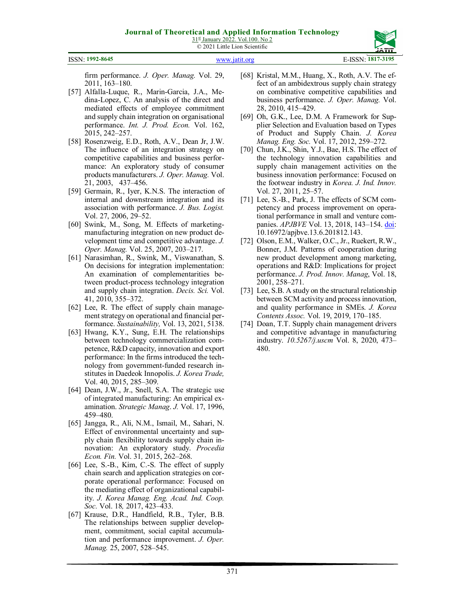31st January 2022. Vol.100. No 2 © 2021 Little Lion Scientific

#### ISSN: **1992-8645** www.jatit.org E-ISSN: **1817-3195**

firm performance. *J. Oper. Manag.* Vol. 29, 2011, 163–180.

- [57] Alfalla-Luque, R., Marin-Garcia, J.A., Medina-Lopez, C. An analysis of the direct and mediated effects of employee commitment and supply chain integration on organisational performance. *Int. J. Prod. Econ.* Vol. 162, 2015, 242–257.
- [58] Rosenzweig, E.D., Roth, A.V., Dean Jr, J.W. The influence of an integration strategy on competitive capabilities and business performance: An exploratory study of consumer products manufacturers. *J. Oper. Manag.* Vol. 21, 2003, 437–456.
- [59] Germain, R., Iyer, K.N.S. The interaction of internal and downstream integration and its association with performance. *J. Bus. Logist.*  Vol. 27, 2006, 29–52.
- [60] Swink, M., Song, M. Effects of marketingmanufacturing integration on new product development time and competitive advantage. *J. Oper. Manag.* Vol. 25, 2007, 203–217.
- [61] Narasimhan, R., Swink, M., Viswanathan, S. On decisions for integration implementation: An examination of complementarities between product-process technology integration and supply chain integration. *Decis. Sci.* Vol. 41, 2010, 355–372.
- [62] Lee, R. The effect of supply chain management strategy on operational and financial performance. *Sustainability,* Vol. 13, 2021, 5138.
- [63] Hwang, K.Y., Sung, E.H. The relationships between technology commercialization competence, R&D capacity, innovation and export performance: In the firms introduced the technology from government-funded research institutes in Daedeok Innopolis. *J. Korea Trade,*  Vol. 40, 2015, 285–309.
- [64] Dean, J.W., Jr., Snell, S.A. The strategic use of integrated manufacturing: An empirical examination. *Strategic Manag*. *J.* Vol. 17, 1996, 459–480.
- [65] Jangga, R., Ali, N.M., Ismail, M., Sahari, N. Effect of environmental uncertainty and supply chain flexibility towards supply chain innovation: An exploratory study. *Procedia Econ. Fin.* Vol. 31*,* 2015, 262–268.
- [66] Lee, S.-B., Kim, C.-S. The effect of supply chain search and application strategies on corporate operational performance: Focused on the mediating effect of organizational capability. *J. Korea Manag. Eng. Acad. Ind. Coop. Soc.* Vol. 18*,* 2017, 423–433.
- [67] Krause, D.R., Handfield, R.B., Tyler, B.B. The relationships between supplier development, commitment, social capital accumulation and performance improvement. *J. Oper. Manag.* 25, 2007, 528–545.
- [68] Kristal, M.M., Huang, X., Roth, A.V. The effect of an ambidextrous supply chain strategy on combinative competitive capabilities and business performance. *J. Oper. Manag.* Vol. 28, 2010, 415–429.
- [69] Oh, G.K., Lee, D.M. A Framework for Supplier Selection and Evaluation based on Types of Product and Supply Chain. *J. Korea Manag. Eng. Soc.* Vol. 17, 2012, 259–272.
- [70] Chun, J.K., Shin, Y.J., Bae, H.S. The effect of the technology innovation capabilities and supply chain management activities on the business innovation performance: Focused on the footwear industry in *Korea. J. Ind. Innov.*  Vol. 27, 2011, 25–57.
- [71] Lee, S.-B., Park, J. The effects of SCM competency and process improvement on operational performance in small and venture companies. *APJBVE* Vol. 13, 2018, 143–154. doi: 10.16972/apjbve.13.6.201812.143.
- [72] Olson, E.M., Walker, O.C., Jr., Ruekert, R.W., Bonner, J.M. Patterns of cooperation during new product development among marketing, operations and R&D: Implications for project performance. *J. Prod. Innov. Manag*, Vol. 18, 2001, 258–271.
- [73] Lee, S.B. A study on the structural relationship between SCM activity and process innovation, and quality performance in SMEs. *J. Korea Contents Assoc.* Vol. 19, 2019, 170–185.
- [74] Doan, T.T. Supply chain management drivers and competitive advantage in manufacturing industry. *10.5267/j.uscm* Vol. 8, 2020, 473– 480.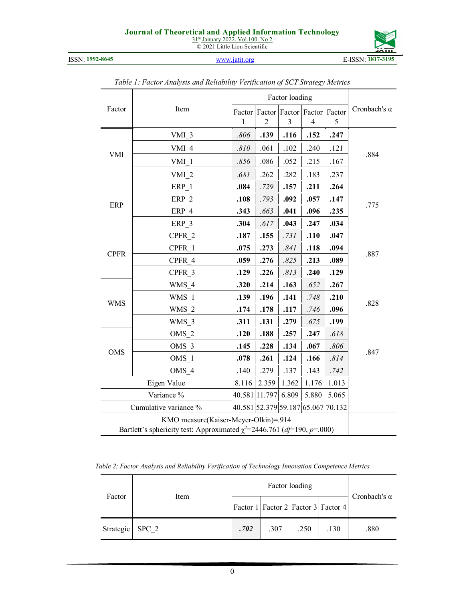31<sup>st</sup> January 2022. Vol.100. No 2 © 2021 Little Lion Scientific



ISSN: **1992-8645** www.jatit.org E-ISSN: **1817-3195**

|             |                                                                              |        | Factor loading |                                    |                          |       |                     |
|-------------|------------------------------------------------------------------------------|--------|----------------|------------------------------------|--------------------------|-------|---------------------|
| Factor      | Item                                                                         | Factor |                | Factor Factor Factor Factor        |                          |       | Cronbach's $\alpha$ |
|             |                                                                              | 1      | 2              | 3                                  | $\overline{\mathcal{A}}$ | 5     |                     |
|             | VMI 3                                                                        | .806   | .139           | .116                               | .152                     | .247  |                     |
|             | VMI 4                                                                        | .810   | .061           | .102                               | .240                     | .121  |                     |
| <b>VMI</b>  | VMI <sub>1</sub>                                                             | .856   | .086           | .052                               | .215                     | .167  | .884                |
|             | VMI <sub>2</sub>                                                             | .681   | .262           | .282                               | .183                     | .237  |                     |
|             | ERP 1                                                                        | .084   | .729           | .157                               | .211                     | .264  |                     |
|             | ERP 2                                                                        | .108   | .793           | .092                               | .057                     | .147  |                     |
| ERP         | ERP 4                                                                        | .343   | .663           | .041                               | .096                     | .235  | .775                |
|             | ERP 3                                                                        | .304   | .617           | .043                               | .247                     | .034  |                     |
|             | CPFR 2                                                                       | .187   | .155           | .731                               | .110                     | .047  |                     |
|             | CPFR 1                                                                       | .075   | .273           | .841                               | .118                     | .094  |                     |
| <b>CPFR</b> | CPFR 4                                                                       | .059   | .276           | .825                               | .213                     | .089  | .887                |
|             | CPFR 3                                                                       | .129   | .226           | .813                               | .240                     | .129  |                     |
|             | WMS 4                                                                        | .320   | .214           | .163                               | .652                     | .267  |                     |
|             | WMS 1                                                                        | .139   | .196           | .141                               | .748                     | .210  |                     |
| <b>WMS</b>  | WMS 2                                                                        | .174   | .178           | .117                               | .746                     | .096  | .828                |
|             | WMS 3                                                                        | .311   | .131           | .279                               | .675                     | .199  |                     |
|             | OMS <sub>2</sub>                                                             | .120   | .188           | .257                               | .247                     | .618  |                     |
|             | OMS 3                                                                        | .145   | .228           | .134                               | .067                     | .806  |                     |
| OMS         | OMS 1                                                                        | .078   | .261           | .124                               | .166                     | .814  | .847                |
|             | OMS 4                                                                        | .140   | .279           | .137                               | .143                     | .742  |                     |
|             | Eigen Value                                                                  | 8.116  | 2.359          | 1.362                              | 1.176                    | 1.013 |                     |
|             | Variance %                                                                   |        | 40.581 11.797  | 6.809                              | 5.880                    | 5.065 |                     |
|             | Cumulative variance %                                                        |        |                | 40.581 52.379 59.187 65.067 70.132 |                          |       |                     |
|             | KMO measure(Kaiser-Meyer-Olkin)=.914                                         |        |                |                                    |                          |       |                     |
|             | Bartlett's sphericity test: Approximated $\chi^2$ =2446.761 (df=190, p=.000) |        |                |                                    |                          |       |                     |

# *Table 1: Factor Analysis and Reliability Verification of SCT Strategy Metrics*

*Table 2: Factor Analysis and Reliability Verification of Technology Innovation Competence Metrics* 

|           |       |      | Cronbach's $\alpha$ |                                           |      |      |
|-----------|-------|------|---------------------|-------------------------------------------|------|------|
| Factor    | Item  |      |                     | Factor 1   Factor 2   Factor 3   Factor 4 |      |      |
| Strategic | SPC 2 | .702 | .307                | .250                                      | .130 | .880 |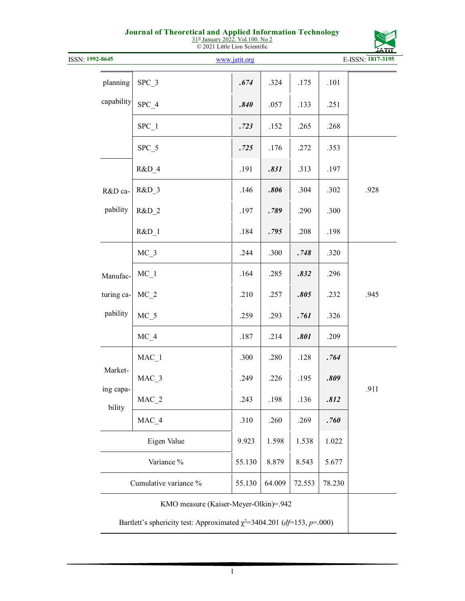| 31st January 2022. Vol.100. No 2 |  |
|----------------------------------|--|
| © 2021 Little Lion Scientific    |  |

| ISSN: 1992-8645     |                                       | www.jatit.org |        |        |        | <u>ווו הנ</u><br>E-ISSN: 1817-3195 |
|---------------------|---------------------------------------|---------------|--------|--------|--------|------------------------------------|
|                     |                                       |               |        |        |        |                                    |
| planning            | $SPC_3$                               | .674          | .324   | .175   | .101   |                                    |
| capability          | SPC 4                                 | .840          | .057   | .133   | .251   |                                    |
|                     | SPC 1                                 | .723          | .152   | .265   | .268   |                                    |
|                     | $SPC_5$                               | .725          | .176   | .272   | .353   |                                    |
|                     | R&D 4                                 | .191          | .831   | .313   | .197   |                                    |
| R&D ca-             | R&D_3                                 | .146          | .806   | .304   | .302   | .928                               |
| pability            | $R&D_2$                               | .197          | .789   | .290   | .300   |                                    |
|                     | R&D 1                                 | .184          | .795   | .208   | .198   |                                    |
|                     | $MC_3$                                | .244          | .300   | .748   | .320   |                                    |
| Manufac-            | $MC_1$                                | .164          | .285   | .832   | .296   |                                    |
| turing ca-          | $MC_2$                                | .210          | .257   | .805   | .232   | .945                               |
| pability            | $MC_5$                                | .259          | .293   | .761   | .326   |                                    |
|                     | $MC_4$                                | .187          | .214   | .801   | .209   |                                    |
|                     | $MAC_1$                               | .300          | .280   | .128   | .764   |                                    |
| Market-             | MAC_3                                 | .249          | .226   | .195   | .809   |                                    |
| ing capa-<br>bility | $MAC_2$                               | .243          | .198   | .136   | .812   | .911                               |
|                     | MAC_4                                 | .310          | .260   | .269   | .760   |                                    |
|                     | Eigen Value                           | 9.923         | 1.598  | 1.538  | 1.022  |                                    |
|                     | Variance %                            | 55.130        | 8.879  | 8.543  | 5.677  |                                    |
|                     | Cumulative variance %                 | 55.130        | 64.009 | 72.553 | 78.230 |                                    |
|                     | KMO measure (Kaiser-Meyer-Olkin)=.942 |               |        |        |        |                                    |

Bartlett's sphericity test: Approximated  $\chi^2$ =3404.201 (*df*=153, *p*=.000)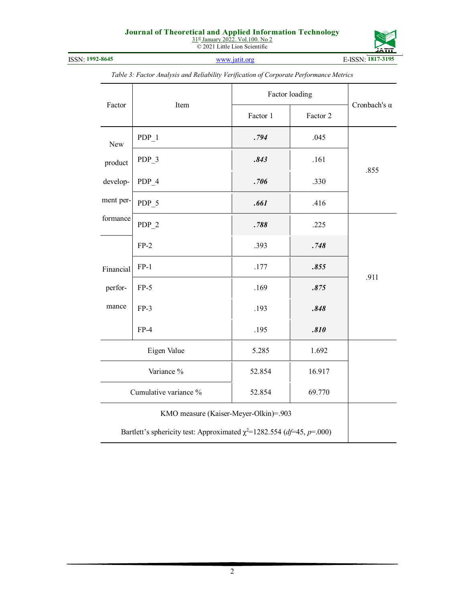31<sup>st</sup> January 2022. Vol.100. No 2 © 2021 Little Lion Scientific



|           |                                                                             |          | Factor loading |                     |  |
|-----------|-----------------------------------------------------------------------------|----------|----------------|---------------------|--|
| Factor    | Item                                                                        | Factor 1 | Factor 2       | Cronbach's $\alpha$ |  |
| New       | $PDP_1$                                                                     | .794     | .045           |                     |  |
| product   | PDP <sub>3</sub>                                                            | .843     | .161           |                     |  |
| develop-  | PDP_4                                                                       | .706     | .330           | .855                |  |
| ment per- | PDP_5                                                                       | .661     | .416           |                     |  |
| formance  | $PDP_2$                                                                     | .788     | .225           |                     |  |
|           | $FP-2$                                                                      | .393     | .748           |                     |  |
| Financial | $FP-1$                                                                      | .177     | .855           |                     |  |
| perfor-   | $FP-5$                                                                      | .169     | .875           | .911                |  |
| mance     | $FP-3$                                                                      | .193     | .848           |                     |  |
|           | $FP-4$                                                                      | .195     | .810           |                     |  |
|           | Eigen Value                                                                 | 5.285    | 1.692          |                     |  |
|           | Variance %                                                                  | 52.854   | 16.917         |                     |  |
|           | Cumulative variance %                                                       | 52.854   | 69.770         |                     |  |
|           | KMO measure (Kaiser-Meyer-Olkin)=.903                                       |          |                |                     |  |
|           | Bartlett's sphericity test: Approximated $\chi^2$ =1282.554 (df=45, p=.000) |          |                |                     |  |

*Table 3: Factor Analysis and Reliability Verification of Corporate Performance Metrics*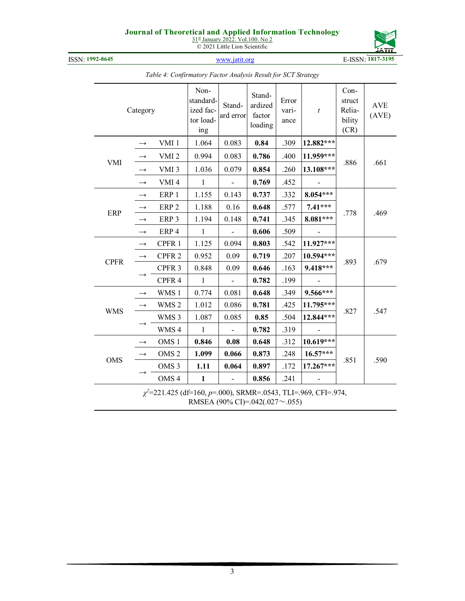31<sup>st</sup> January 2022. Vol.100. No 2 © 2021 Little Lion Scientific



ISSN: **1992-8645** www.jatit.org E-ISSN: **1817-3195**

|             | Category                                                            |                   | Non-<br>standard-<br>ized fac-<br>tor load-<br>ing | Stand-<br>ard error      | Stand-<br>ardized<br>factor<br>loading | Error<br>vari-<br>ance | $\boldsymbol{t}$ | $Con-$<br>struct<br>Relia-<br>bility<br>(CR) | <b>AVE</b><br>(AVE) |  |  |
|-------------|---------------------------------------------------------------------|-------------------|----------------------------------------------------|--------------------------|----------------------------------------|------------------------|------------------|----------------------------------------------|---------------------|--|--|
|             |                                                                     | VMI <sub>1</sub>  | 1.064                                              | 0.083                    | 0.84                                   | .309                   | 12.882***        |                                              |                     |  |  |
|             |                                                                     | VMI <sub>2</sub>  | 0.994                                              | 0.083                    | 0.786                                  | .400                   | 11.959***        |                                              |                     |  |  |
| VMI         |                                                                     | VMI <sub>3</sub>  | 1.036                                              | 0.079                    | 0.854                                  | .260                   | 13.108***        | .886                                         | .661                |  |  |
|             | $\rightarrow$                                                       | VMI <sub>4</sub>  | $\mathbf{1}$                                       |                          | 0.769                                  | .452                   |                  |                                              |                     |  |  |
|             | $\rightarrow$                                                       | ERP 1             | 1.155                                              | 0.143                    | 0.737                                  | .332                   | 8.054***         |                                              |                     |  |  |
|             |                                                                     | ERP <sub>2</sub>  | 1.188                                              | 0.16                     | 0.648                                  | .577                   | $7.41***$        |                                              | .469                |  |  |
| <b>ERP</b>  | $\rightarrow$                                                       | ERP <sub>3</sub>  | 1.194                                              | 0.148                    | 0.741                                  | .345                   | 8.081***         | .778                                         |                     |  |  |
|             | $\rightarrow$                                                       | ERP <sub>4</sub>  | $\mathbf{1}$                                       | $\overline{\phantom{a}}$ | 0.606                                  | .509                   |                  |                                              |                     |  |  |
|             | $\longrightarrow$                                                   | CPFR 1            | 1.125                                              | 0.094                    | 0.803                                  | .542                   | 11.927***        |                                              |                     |  |  |
|             | $\longrightarrow$                                                   | CPFR <sub>2</sub> | 0.952                                              | 0.09                     | 0.719                                  | .207                   | 10.594***        |                                              |                     |  |  |
| <b>CPFR</b> |                                                                     | CPFR <sub>3</sub> | 0.848                                              | 0.09                     | 0.646                                  | .163                   | 9.418***         | .893                                         | .679                |  |  |
|             |                                                                     | CPFR 4            | $\mathbf{1}$                                       |                          | 0.782                                  | .199                   |                  |                                              |                     |  |  |
|             | $\rightarrow$                                                       | WMS 1             | 0.774                                              | 0.081                    | 0.648                                  | .349                   | 9.566***         |                                              |                     |  |  |
|             | $\longrightarrow$                                                   | WMS <sub>2</sub>  | 1.012                                              | 0.086                    | 0.781                                  | .425                   | 11.795***        |                                              |                     |  |  |
| <b>WMS</b>  |                                                                     | WMS 3             | 1.087                                              | 0.085                    | 0.85                                   | .504                   | 12.844***        | .827                                         | .547                |  |  |
|             |                                                                     | WMS 4             | $\mathbf{1}$                                       |                          | 0.782                                  | .319                   | $\sim$           |                                              |                     |  |  |
|             | $\rightarrow$                                                       | OMS <sub>1</sub>  | 0.846                                              | 0.08                     | 0.648                                  | .312                   | 10.619***        |                                              |                     |  |  |
| <b>OMS</b>  | $\longrightarrow$                                                   | OMS <sub>2</sub>  | 1.099                                              | 0.066                    | 0.873                                  | .248                   | $16.57***$       | .851                                         | .590                |  |  |
|             |                                                                     | OMS <sub>3</sub>  | 1.11                                               | 0.064                    | 0.897                                  | .172                   | 17.267***        |                                              |                     |  |  |
|             |                                                                     | OMS <sub>4</sub>  | $\mathbf{1}$                                       |                          | 0.856                                  | .241                   |                  |                                              |                     |  |  |
|             | $\chi^2$ =221.425 (df=160, p=.000), SRMR=.0543, TLI=.969, CFI=.974, |                   |                                                    |                          |                                        |                        |                  |                                              |                     |  |  |

*Table 4: Confirmatory Factor Analysis Result for SCT Strategy* 

RMSEA (90% CI)=.042(.027~.055)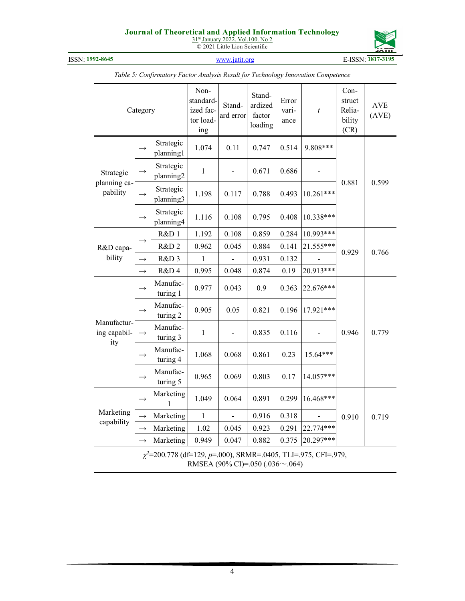31<sup>st</sup> January 2022. Vol.100. No 2 © 2021 Little Lion Scientific



ISSN: **1992-8645** www.jatit.org E-ISSN: **1817-3195**

|                                    | Category      |                                                                     | Non-<br>standard-<br>ized fac-<br>tor load-<br>ing | Stand-<br>ard error | Stand-<br>ardized<br>factor<br>loading | Error<br>vari-<br>ance | $\boldsymbol{t}$ | $Con-$<br>struct<br>Relia-<br>bility<br>(CR) | <b>AVE</b><br>(AVE) |
|------------------------------------|---------------|---------------------------------------------------------------------|----------------------------------------------------|---------------------|----------------------------------------|------------------------|------------------|----------------------------------------------|---------------------|
|                                    |               | Strategic<br>planning1                                              | 1.074                                              | 0.11                | 0.747                                  | 0.514                  | 9.808***         |                                              |                     |
| Strategic                          |               | Strategic<br>planning2                                              | $\mathbf{1}$                                       |                     | 0.671                                  | 0.686                  |                  |                                              |                     |
| planning ca-<br>pability           |               | Strategic<br>planning3                                              | 1.198                                              | 0.117               | 0.788                                  | 0.493                  | $10.261***$      | 0.881                                        | 0.599               |
|                                    |               | Strategic<br>planning4                                              | 1.116                                              | 0.108               | 0.795                                  | 0.408                  | 10.338***        |                                              |                     |
|                                    |               | R&D 1                                                               | 1.192                                              | 0.108               | 0.859                                  | 0.284                  | $10.993***$      |                                              |                     |
| R&D capa-                          |               | R&D <sub>2</sub>                                                    | 0.962                                              | 0.045               | 0.884                                  | 0.141                  | 21.555***        | 0.929                                        | 0.766               |
| bility                             | $\rightarrow$ | R&D 3                                                               | 1                                                  |                     | 0.931                                  | 0.132                  |                  |                                              |                     |
|                                    | $\rightarrow$ | R&D4                                                                | 0.995                                              | 0.048               | 0.874                                  | 0.19                   | 20.913***        |                                              |                     |
|                                    |               | Manufac-<br>turing 1                                                | 0.977                                              | 0.043               | 0.9                                    | 0.363                  | 22.676***        |                                              |                     |
|                                    |               | Manufac-<br>turing 2                                                | 0.905                                              | 0.05                | 0.821                                  | 0.196                  | 17.921***        |                                              |                     |
| Manufactur-<br>ing capabil-<br>ity |               | Manufac-<br>turing 3                                                | $\mathbf{1}$                                       |                     | 0.835                                  | 0.116                  |                  | 0.946                                        | 0.779               |
|                                    |               | Manufac-<br>turing 4                                                | 1.068                                              | 0.068               | 0.861                                  | 0.23                   | 15.64***         |                                              |                     |
|                                    |               | Manufac-<br>turing 5                                                | 0.965                                              | 0.069               | 0.803                                  | 0.17                   | 14.057***        |                                              |                     |
|                                    |               | Marketing<br>1                                                      | 1.049                                              | 0.064               | 0.891                                  | 0.299                  | 16.468***        |                                              |                     |
| Marketing                          |               | Marketing                                                           | $\,1$                                              |                     | 0.916                                  | 0.318                  |                  | 0.910                                        | 0.719               |
| capability                         | $\rightarrow$ | Marketing                                                           | 1.02                                               | 0.045               | 0.923                                  | 0.291                  | 22.774***        |                                              |                     |
|                                    | $\rightarrow$ | Marketing                                                           | 0.949                                              | 0.047               | 0.882                                  | 0.375                  | 20.297***        |                                              |                     |
|                                    |               | $\chi^2$ =200.778 (df=129, p=.000), SRMR=.0405, TLI=.975, CFI=.979, | RMSEA (90% CI)=.050 (.036 $\sim$ .064)             |                     |                                        |                        |                  |                                              |                     |

*Table 5: Confirmatory Factor Analysis Result for Technology Innovation Competence*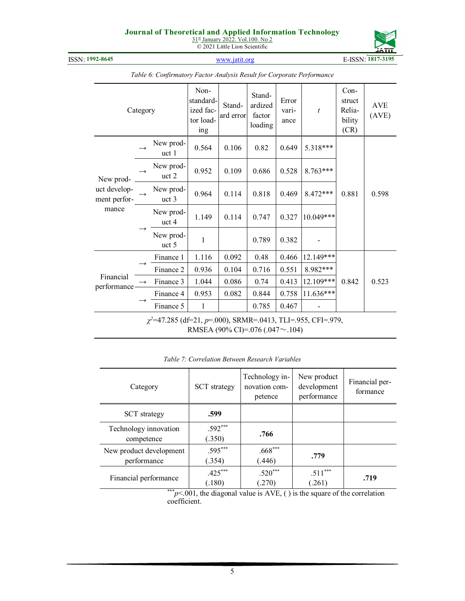31<sup>st</sup> January 2022. Vol.100. No 2 © 2021 Little Lion Scientific



ISSN: **1992-8645** www.jatit.org E-ISSN: **1817-3195**

| Category                                                                                                    |  | Non-<br>standard-<br>ized fac-<br>tor load-<br>ing | Stand-<br>ard error | Stand-<br>ardized<br>factor<br>loading | Error<br>vari-<br>ance | $\boldsymbol{t}$ | $Con-$<br>struct<br>Relia-<br>bility<br>(CR) | <b>AVE</b><br>(AVE) |       |  |
|-------------------------------------------------------------------------------------------------------------|--|----------------------------------------------------|---------------------|----------------------------------------|------------------------|------------------|----------------------------------------------|---------------------|-------|--|
|                                                                                                             |  | New prod-<br>uct <sub>1</sub>                      | 0.564               | 0.106                                  | 0.82                   | 0.649            | 5.318***                                     |                     |       |  |
| New prod-                                                                                                   |  | New prod-<br>uct 2                                 | 0.952               | 0.109                                  | 0.686                  | 0.528            | 8.763***                                     |                     |       |  |
| uct develop-<br>ment perfor-                                                                                |  | New prod-<br>uct 3                                 | 0.964               | 0.114                                  | 0.818                  | 0.469            | 8.472***                                     | 0.881               | 0.598 |  |
| mance                                                                                                       |  | New prod-<br>uct 4                                 | 1.149               | 0.114                                  | 0.747                  | 0.327            | 10.049***                                    |                     |       |  |
|                                                                                                             |  | New prod-<br>uct 5                                 | 1                   |                                        | 0.789                  | 0.382            |                                              |                     |       |  |
|                                                                                                             |  | Finance 1                                          | 1.116               | 0.092                                  | 0.48                   | 0.466            | 12.149***                                    |                     |       |  |
|                                                                                                             |  | Finance 2                                          | 0.936               | 0.104                                  | 0.716                  | 0.551            | 8.982***                                     |                     |       |  |
| Financial<br>performance-                                                                                   |  | Finance 3                                          | 1.044               | 0.086                                  | 0.74                   | 0.413            | 12.109***                                    | 0.842               | 0.523 |  |
|                                                                                                             |  | Finance 4                                          | 0.953               | 0.082                                  | 0.844                  | 0.758            | 11.636***                                    |                     |       |  |
|                                                                                                             |  | Finance 5                                          | 1                   |                                        | 0.785                  | 0.467            |                                              |                     |       |  |
| $\chi^2$ =47.285 (df=21, p=.000), SRMR=.0413, TLI=.955, CFI=.979,<br>RMSEA (90% CI)=.076 (.047 $\sim$ .104) |  |                                                    |                     |                                        |                        |                  |                                              |                     |       |  |

*Table 6: Confirmatory Factor Analysis Result for Corporate Performance* 

| Category                               | <b>SCT</b> strategy | Technology in-<br>novation com-<br>petence | New product<br>development<br>performance | Financial per-<br>formance |
|----------------------------------------|---------------------|--------------------------------------------|-------------------------------------------|----------------------------|
| <b>SCT</b> strategy                    | .599                |                                            |                                           |                            |
| Technology innovation<br>competence    | $.592***$<br>(.350) | .766                                       |                                           |                            |
| New product development<br>performance | $.595***$<br>(.354) | $.668***$<br>(.446)                        | .779                                      |                            |
| Financial performance                  | $.425***$<br>(.180) | $.520***$<br>(.270)                        | $.511***$<br>(.261)                       | .719                       |

*Table 7: Correlation Between Research Variables* 

\*\*\**p* < 001, the diagonal value is AVE, () is the square of the correlation coefficient.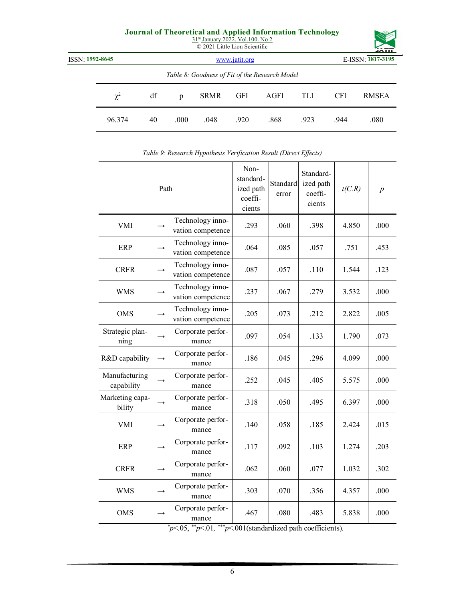| $31st$ January 2022. Vol.100. No 2<br>© 2021 Little Lion Scientific |          |    |               |             |            |                                                | <b>JATIT</b> |                   |              |  |
|---------------------------------------------------------------------|----------|----|---------------|-------------|------------|------------------------------------------------|--------------|-------------------|--------------|--|
| ISSN: 1992-8645                                                     |          |    | www.jatit.org |             |            |                                                |              | E-ISSN: 1817-3195 |              |  |
|                                                                     |          |    |               |             |            | Table 8: Goodness of Fit of the Research Model |              |                   |              |  |
|                                                                     | $\chi^2$ | df | p             | <b>SRMR</b> | <b>GFI</b> | AGFI                                           | TLI          | <b>CFI</b>        | <b>RMSEA</b> |  |
|                                                                     | 96.374   | 40 | .000          | .048        | .920       | .868                                           | .923         | .944              | .080         |  |

| Path                        |               | Non-<br>standard-<br>ized path<br>coeffi-<br>cients | Standard<br>error | Standard-<br>ized path<br>coeffi-<br>cients | t(C.R) | $\boldsymbol{p}$ |      |
|-----------------------------|---------------|-----------------------------------------------------|-------------------|---------------------------------------------|--------|------------------|------|
| <b>VMI</b>                  |               | Technology inno-<br>vation competence               | .293              | .060                                        | .398   | 4.850            | .000 |
| <b>ERP</b>                  |               | Technology inno-<br>vation competence               | .064              | .085                                        | .057   | .751             | .453 |
| <b>CRFR</b>                 | $\rightarrow$ | Technology inno-<br>vation competence               | .087              | .057                                        | .110   | 1.544            | .123 |
| WMS                         | $\rightarrow$ | Technology inno-<br>vation competence               | .237              | .067                                        | .279   | 3.532            | .000 |
| <b>OMS</b>                  | $\rightarrow$ | Technology inno-<br>vation competence               | .205              | .073                                        | .212   | 2.822            | .005 |
| Strategic plan-<br>ning     | $\rightarrow$ | Corporate perfor-<br>mance                          | .097              | .054                                        | .133   | 1.790            | .073 |
| R&D capability              |               | Corporate perfor-<br>mance                          | .186              | .045                                        | .296   | 4.099            | .000 |
| Manufacturing<br>capability | $\rightarrow$ | Corporate perfor-<br>mance                          | .252              | .045                                        | .405   | 5.575            | .000 |
| Marketing capa-<br>bility   |               | Corporate perfor-<br>mance                          | .318              | .050                                        | .495   | 6.397            | .000 |
| <b>VMI</b>                  |               | Corporate perfor-<br>mance                          | .140              | .058                                        | .185   | 2.424            | .015 |
| <b>ERP</b>                  |               | Corporate perfor-<br>mance                          | .117              | .092                                        | .103   | 1.274            | .203 |
| <b>CRFR</b>                 | $\rightarrow$ | Corporate perfor-<br>mance                          | .062              | .060                                        | .077   | 1.032            | .302 |
| <b>WMS</b>                  |               | Corporate perfor-<br>mance                          | .303              | .070                                        | .356   | 4.357            | .000 |
| <b>OMS</b>                  |               | Corporate perfor-<br>mance                          | .467              | .080                                        | .483   | 5.838            | .000 |

|  | Table 9: Research Hypothesis Verification Result (Direct Effects) |  |  |
|--|-------------------------------------------------------------------|--|--|
|  |                                                                   |  |  |

*\*p*<.05, *\*\*p*<.01*, \*\*\*p*<.001(standardized path coefficients).